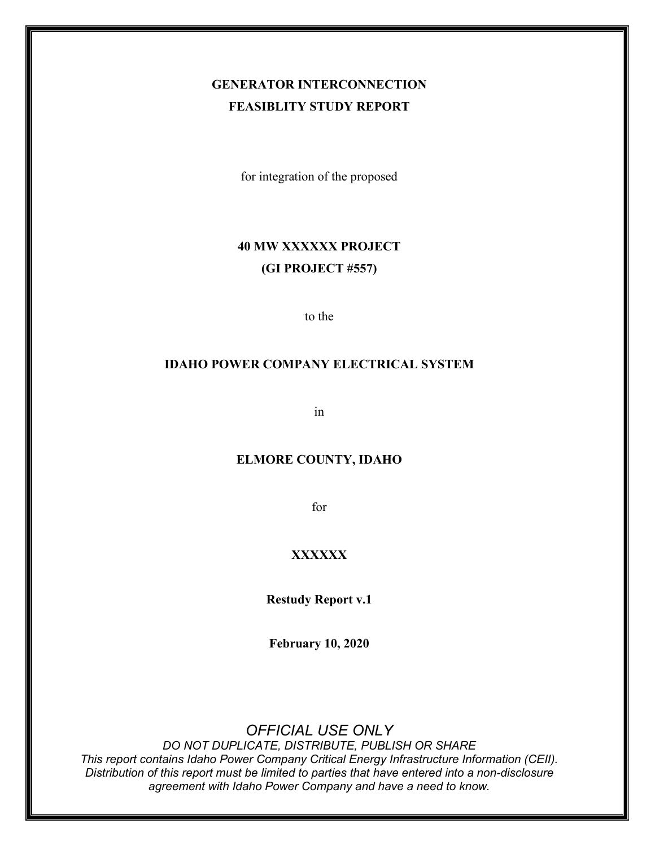## **GENERATOR INTERCONNECTION FEASIBLITY STUDY REPORT**

for integration of the proposed

## **40 MW XXXXXX PROJECT (GI PROJECT #557)**

to the

### **IDAHO POWER COMPANY ELECTRICAL SYSTEM**

in

### **ELMORE COUNTY, IDAHO**

for

### **XXXXXX**

**Restudy Report v.1**

**February 10, 2020**

## *OFFICIAL USE ONLY*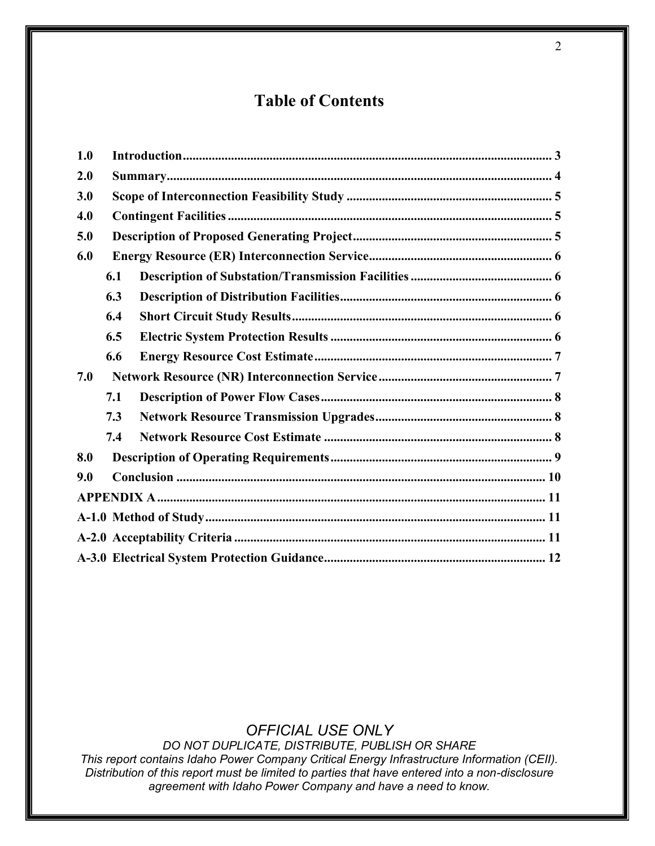# **Table of Contents**

| 1.0 |     |  |  |  |  |  |  |
|-----|-----|--|--|--|--|--|--|
| 2.0 |     |  |  |  |  |  |  |
| 3.0 |     |  |  |  |  |  |  |
| 4.0 |     |  |  |  |  |  |  |
| 5.0 |     |  |  |  |  |  |  |
| 6.0 |     |  |  |  |  |  |  |
|     | 6.1 |  |  |  |  |  |  |
|     | 6.3 |  |  |  |  |  |  |
|     | 6.4 |  |  |  |  |  |  |
|     | 6.5 |  |  |  |  |  |  |
|     | 6.6 |  |  |  |  |  |  |
| 7.0 |     |  |  |  |  |  |  |
|     | 7.1 |  |  |  |  |  |  |
|     | 7.3 |  |  |  |  |  |  |
|     | 7.4 |  |  |  |  |  |  |
| 8.0 |     |  |  |  |  |  |  |
| 9.0 |     |  |  |  |  |  |  |
|     |     |  |  |  |  |  |  |
|     |     |  |  |  |  |  |  |
|     |     |  |  |  |  |  |  |
|     |     |  |  |  |  |  |  |

## *OFFICIAL USE ONLY*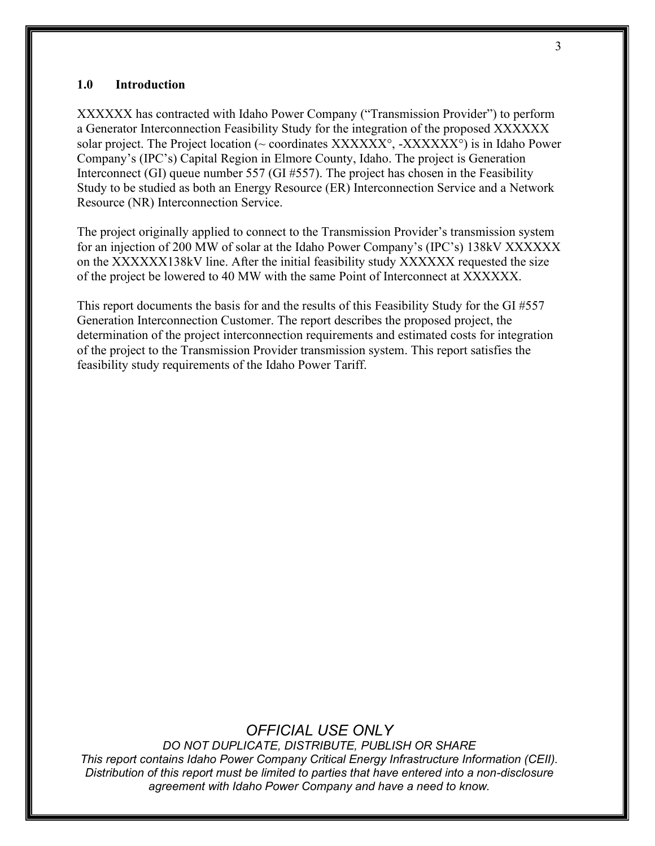#### <span id="page-2-0"></span>**1.0 Introduction**

XXXXXX has contracted with Idaho Power Company ("Transmission Provider") to perform a Generator Interconnection Feasibility Study for the integration of the proposed XXXXXX solar project. The Project location ( $\sim$  coordinates XXXXXXX°, -XXXXXX<sup>°</sup>) is in Idaho Power Company's (IPC's) Capital Region in Elmore County, Idaho. The project is Generation Interconnect (GI) queue number 557 (GI #557). The project has chosen in the Feasibility Study to be studied as both an Energy Resource (ER) Interconnection Service and a Network Resource (NR) Interconnection Service.

The project originally applied to connect to the Transmission Provider's transmission system for an injection of 200 MW of solar at the Idaho Power Company's (IPC's) 138kV XXXXXX on the XXXXXX138kV line. After the initial feasibility study XXXXXX requested the size of the project be lowered to 40 MW with the same Point of Interconnect at XXXXXX.

This report documents the basis for and the results of this Feasibility Study for the GI #557 Generation Interconnection Customer. The report describes the proposed project, the determination of the project interconnection requirements and estimated costs for integration of the project to the Transmission Provider transmission system. This report satisfies the feasibility study requirements of the Idaho Power Tariff.

## *OFFICIAL USE ONLY*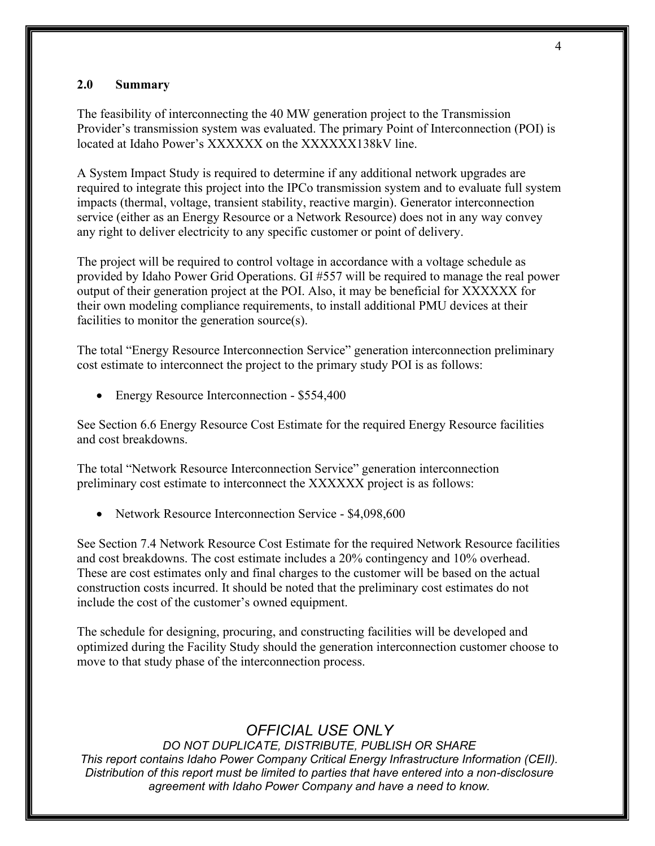### <span id="page-3-0"></span>**2.0 Summary**

The feasibility of interconnecting the 40 MW generation project to the Transmission Provider's transmission system was evaluated. The primary Point of Interconnection (POI) is located at Idaho Power's XXXXXX on the XXXXXX138kV line.

A System Impact Study is required to determine if any additional network upgrades are required to integrate this project into the IPCo transmission system and to evaluate full system impacts (thermal, voltage, transient stability, reactive margin). Generator interconnection service (either as an Energy Resource or a Network Resource) does not in any way convey any right to deliver electricity to any specific customer or point of delivery.

The project will be required to control voltage in accordance with a voltage schedule as provided by Idaho Power Grid Operations. GI #557 will be required to manage the real power output of their generation project at the POI. Also, it may be beneficial for XXXXXX for their own modeling compliance requirements, to install additional PMU devices at their facilities to monitor the generation source(s).

The total "Energy Resource Interconnection Service" generation interconnection preliminary cost estimate to interconnect the project to the primary study POI is as follows:

• Energy Resource Interconnection - \$554,400

See Section 6.6 Energy Resource Cost Estimate for the required Energy Resource facilities and cost breakdowns.

The total "Network Resource Interconnection Service" generation interconnection preliminary cost estimate to interconnect the XXXXXX project is as follows:

• Network Resource Interconnection Service - \$4,098,600

See Section 7.4 Network Resource Cost Estimate for the required Network Resource facilities and cost breakdowns. The cost estimate includes a 20% contingency and 10% overhead. These are cost estimates only and final charges to the customer will be based on the actual construction costs incurred. It should be noted that the preliminary cost estimates do not include the cost of the customer's owned equipment.

The schedule for designing, procuring, and constructing facilities will be developed and optimized during the Facility Study should the generation interconnection customer choose to move to that study phase of the interconnection process.

## *OFFICIAL USE ONLY*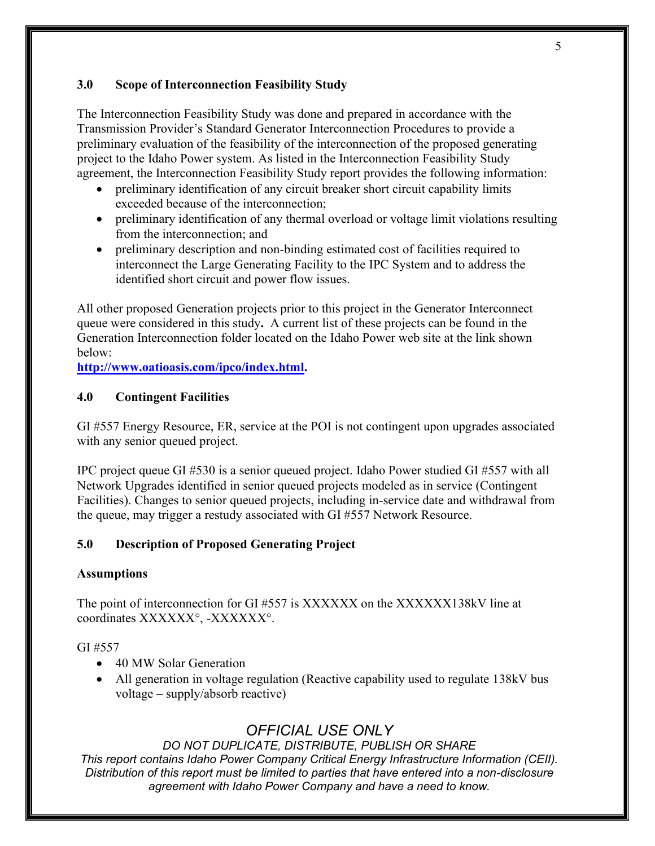## <span id="page-4-0"></span>**3.0 Scope of Interconnection Feasibility Study**

The Interconnection Feasibility Study was done and prepared in accordance with the Transmission Provider's Standard Generator Interconnection Procedures to provide a preliminary evaluation of the feasibility of the interconnection of the proposed generating project to the Idaho Power system. As listed in the Interconnection Feasibility Study agreement, the Interconnection Feasibility Study report provides the following information:

- preliminary identification of any circuit breaker short circuit capability limits exceeded because of the interconnection;
- preliminary identification of any thermal overload or voltage limit violations resulting from the interconnection; and
- preliminary description and non-binding estimated cost of facilities required to interconnect the Large Generating Facility to the IPC System and to address the identified short circuit and power flow issues.

All other proposed Generation projects prior to this project in the Generator Interconnect queue were considered in this study**.** A current list of these projects can be found in the Generation Interconnection folder located on the Idaho Power web site at the link shown below:

**[http://www.oatioasis.com/ipco/index.html.](http://www.oatioasis.com/ipco/index.html)**

## <span id="page-4-1"></span>**4.0 Contingent Facilities**

GI #557 Energy Resource, ER, service at the POI is not contingent upon upgrades associated with any senior queued project.

IPC project queue GI #530 is a senior queued project. Idaho Power studied GI #557 with all Network Upgrades identified in senior queued projects modeled as in service (Contingent Facilities). Changes to senior queued projects, including in-service date and withdrawal from the queue, may trigger a restudy associated with GI #557 Network Resource.

## <span id="page-4-2"></span>**5.0 Description of Proposed Generating Project**

## **Assumptions**

The point of interconnection for GI #557 is XXXXXX on the XXXXXX138kV line at coordinates XXXXXX°, -XXXXXX°.

## GI #557

- 40 MW Solar Generation
- All generation in voltage regulation (Reactive capability used to regulate 138kV bus voltage – supply/absorb reactive)

## *OFFICIAL USE ONLY*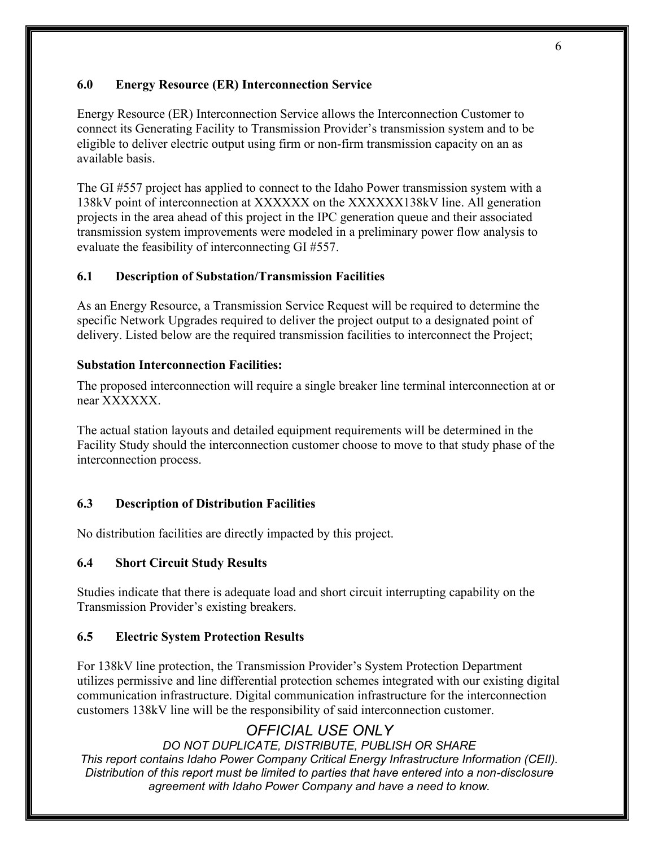### <span id="page-5-0"></span>**6.0 Energy Resource (ER) Interconnection Service**

Energy Resource (ER) Interconnection Service allows the Interconnection Customer to connect its Generating Facility to Transmission Provider's transmission system and to be eligible to deliver electric output using firm or non-firm transmission capacity on an as available basis.

The GI #557 project has applied to connect to the Idaho Power transmission system with a 138kV point of interconnection at XXXXXX on the XXXXXX138kV line. All generation projects in the area ahead of this project in the IPC generation queue and their associated transmission system improvements were modeled in a preliminary power flow analysis to evaluate the feasibility of interconnecting GI #557.

### <span id="page-5-1"></span>**6.1 Description of Substation/Transmission Facilities**

As an Energy Resource, a Transmission Service Request will be required to determine the specific Network Upgrades required to deliver the project output to a designated point of delivery. Listed below are the required transmission facilities to interconnect the Project;

#### **Substation Interconnection Facilities:**

The proposed interconnection will require a single breaker line terminal interconnection at or near XXXXXX.

The actual station layouts and detailed equipment requirements will be determined in the Facility Study should the interconnection customer choose to move to that study phase of the interconnection process.

### <span id="page-5-2"></span>**6.3 Description of Distribution Facilities**

No distribution facilities are directly impacted by this project.

#### <span id="page-5-3"></span>**6.4 Short Circuit Study Results**

Studies indicate that there is adequate load and short circuit interrupting capability on the Transmission Provider's existing breakers.

#### <span id="page-5-4"></span>**6.5 Electric System Protection Results**

For 138kV line protection, the Transmission Provider's System Protection Department utilizes permissive and line differential protection schemes integrated with our existing digital communication infrastructure. Digital communication infrastructure for the interconnection customers 138kV line will be the responsibility of said interconnection customer.

## *OFFICIAL USE ONLY*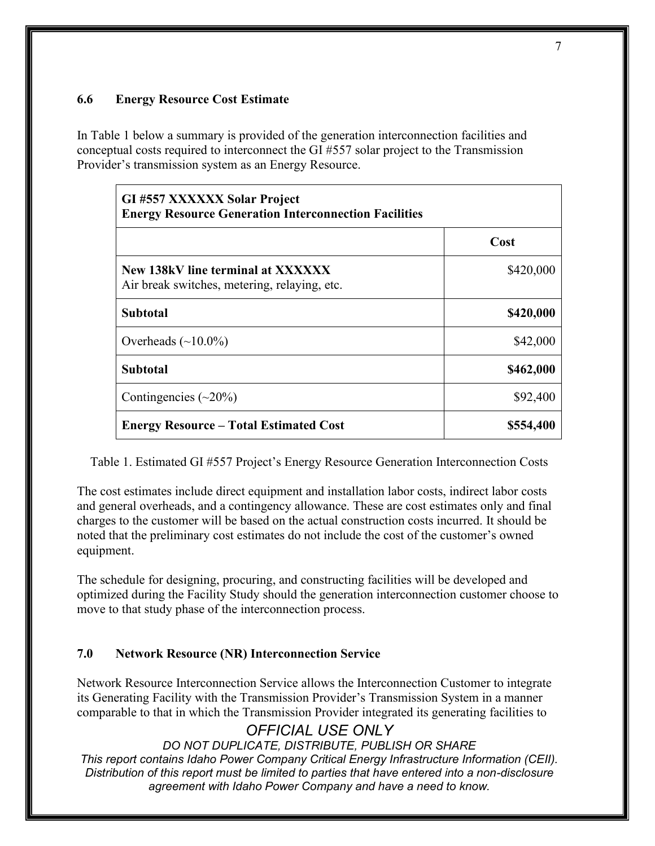### <span id="page-6-0"></span>**6.6 Energy Resource Cost Estimate**

In Table 1 below a summary is provided of the generation interconnection facilities and conceptual costs required to interconnect the GI #557 solar project to the Transmission Provider's transmission system as an Energy Resource.

| GI #557 XXXXXX Solar Project<br><b>Energy Resource Generation Interconnection Facilities</b> |           |  |  |  |  |
|----------------------------------------------------------------------------------------------|-----------|--|--|--|--|
|                                                                                              | Cost      |  |  |  |  |
| New 138kV line terminal at XXXXXX<br>Air break switches, metering, relaying, etc.            | \$420,000 |  |  |  |  |
| <b>Subtotal</b>                                                                              | \$420,000 |  |  |  |  |
| Overheads $(\sim 10.0\%)$                                                                    | \$42,000  |  |  |  |  |
| Subtotal                                                                                     | \$462,000 |  |  |  |  |
| Contingencies $(\sim 20\%)$                                                                  | \$92,400  |  |  |  |  |
| <b>Energy Resource – Total Estimated Cost</b>                                                | \$554,400 |  |  |  |  |

Table 1. Estimated GI #557 Project's Energy Resource Generation Interconnection Costs

The cost estimates include direct equipment and installation labor costs, indirect labor costs and general overheads, and a contingency allowance. These are cost estimates only and final charges to the customer will be based on the actual construction costs incurred. It should be noted that the preliminary cost estimates do not include the cost of the customer's owned equipment.

The schedule for designing, procuring, and constructing facilities will be developed and optimized during the Facility Study should the generation interconnection customer choose to move to that study phase of the interconnection process.

## <span id="page-6-1"></span>**7.0 Network Resource (NR) Interconnection Service**

Network Resource Interconnection Service allows the Interconnection Customer to integrate its Generating Facility with the Transmission Provider's Transmission System in a manner comparable to that in which the Transmission Provider integrated its generating facilities to

## *OFFICIAL USE ONLY*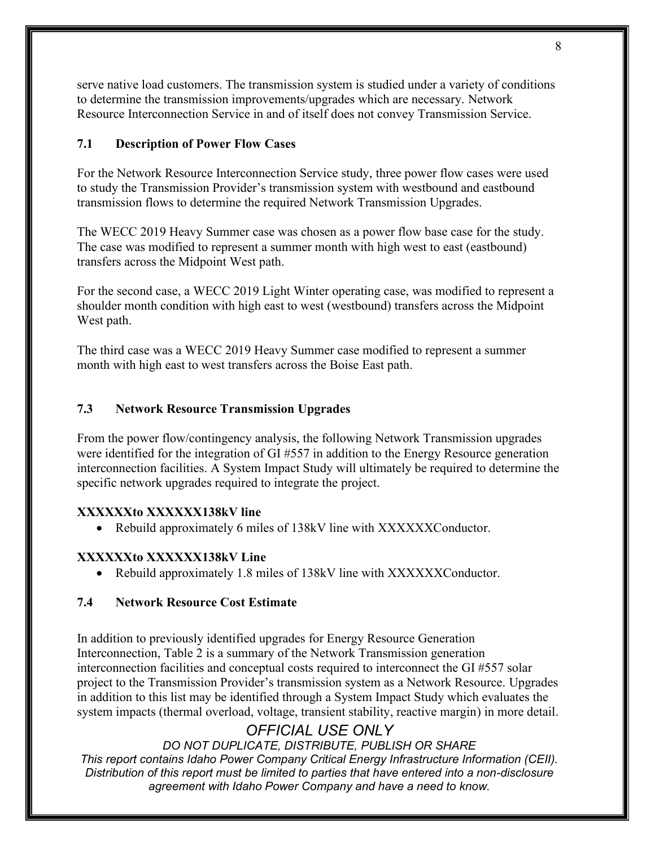serve native load customers. The transmission system is studied under a variety of conditions to determine the transmission improvements/upgrades which are necessary. Network Resource Interconnection Service in and of itself does not convey Transmission Service.

### <span id="page-7-0"></span>**7.1 Description of Power Flow Cases**

For the Network Resource Interconnection Service study, three power flow cases were used to study the Transmission Provider's transmission system with westbound and eastbound transmission flows to determine the required Network Transmission Upgrades.

The WECC 2019 Heavy Summer case was chosen as a power flow base case for the study. The case was modified to represent a summer month with high west to east (eastbound) transfers across the Midpoint West path.

For the second case, a WECC 2019 Light Winter operating case, was modified to represent a shoulder month condition with high east to west (westbound) transfers across the Midpoint West path.

The third case was a WECC 2019 Heavy Summer case modified to represent a summer month with high east to west transfers across the Boise East path.

### <span id="page-7-1"></span>**7.3 Network Resource Transmission Upgrades**

From the power flow/contingency analysis, the following Network Transmission upgrades were identified for the integration of GI #557 in addition to the Energy Resource generation interconnection facilities. A System Impact Study will ultimately be required to determine the specific network upgrades required to integrate the project.

### **XXXXXXto XXXXXX138kV line**

• Rebuild approximately 6 miles of 138kV line with XXXXXXConductor.

### **XXXXXXto XXXXXX138kV Line**

• Rebuild approximately 1.8 miles of 138kV line with XXXXXXConductor.

### <span id="page-7-2"></span>**7.4 Network Resource Cost Estimate**

In addition to previously identified upgrades for Energy Resource Generation Interconnection, Table 2 is a summary of the Network Transmission generation interconnection facilities and conceptual costs required to interconnect the GI #557 solar project to the Transmission Provider's transmission system as a Network Resource. Upgrades in addition to this list may be identified through a System Impact Study which evaluates the system impacts (thermal overload, voltage, transient stability, reactive margin) in more detail.

## *OFFICIAL USE ONLY*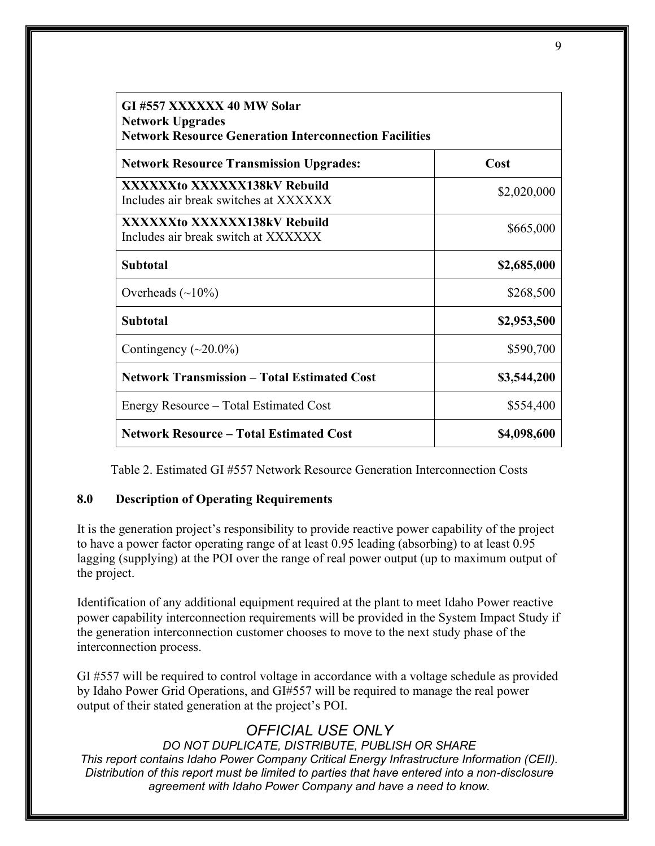| GI #557 XXXXXX 40 MW Solar<br><b>Network Upgrades</b><br><b>Network Resource Generation Interconnection Facilities</b> |             |  |  |  |
|------------------------------------------------------------------------------------------------------------------------|-------------|--|--|--|
| <b>Network Resource Transmission Upgrades:</b>                                                                         | Cost        |  |  |  |
| XXXXXXto XXXXXX138kV Rebuild<br>Includes air break switches at XXXXXX                                                  | \$2,020,000 |  |  |  |
| XXXXXXto XXXXXX138kV Rebuild<br>Includes air break switch at XXXXXX                                                    | \$665,000   |  |  |  |
| <b>Subtotal</b>                                                                                                        | \$2,685,000 |  |  |  |
| Overheads $(\sim 10\%)$                                                                                                | \$268,500   |  |  |  |
| <b>Subtotal</b>                                                                                                        | \$2,953,500 |  |  |  |
| Contingency $(\sim 20.0\%)$                                                                                            | \$590,700   |  |  |  |
| <b>Network Transmission - Total Estimated Cost</b>                                                                     | \$3,544,200 |  |  |  |
| Energy Resource – Total Estimated Cost                                                                                 | \$554,400   |  |  |  |
| <b>Network Resource - Total Estimated Cost</b>                                                                         | \$4,098,600 |  |  |  |

Table 2. Estimated GI #557 Network Resource Generation Interconnection Costs

## <span id="page-8-0"></span>**8.0 Description of Operating Requirements**

It is the generation project's responsibility to provide reactive power capability of the project to have a power factor operating range of at least 0.95 leading (absorbing) to at least 0.95 lagging (supplying) at the POI over the range of real power output (up to maximum output of the project.

Identification of any additional equipment required at the plant to meet Idaho Power reactive power capability interconnection requirements will be provided in the System Impact Study if the generation interconnection customer chooses to move to the next study phase of the interconnection process.

GI #557 will be required to control voltage in accordance with a voltage schedule as provided by Idaho Power Grid Operations, and GI#557 will be required to manage the real power output of their stated generation at the project's POI.

## *OFFICIAL USE ONLY*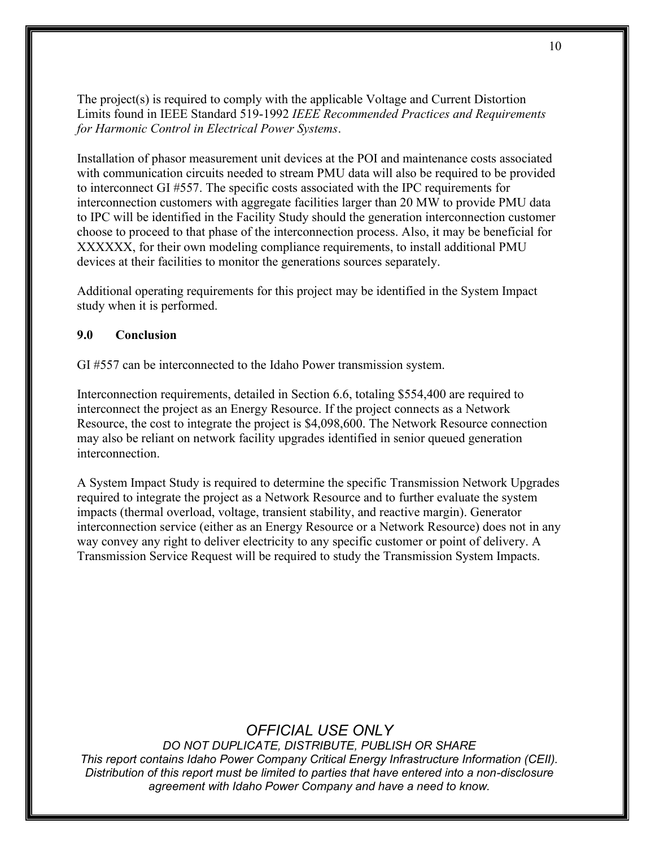The project(s) is required to comply with the applicable Voltage and Current Distortion Limits found in IEEE Standard 519-1992 *IEEE Recommended Practices and Requirements for Harmonic Control in Electrical Power Systems*.

Installation of phasor measurement unit devices at the POI and maintenance costs associated with communication circuits needed to stream PMU data will also be required to be provided to interconnect GI #557. The specific costs associated with the IPC requirements for interconnection customers with aggregate facilities larger than 20 MW to provide PMU data to IPC will be identified in the Facility Study should the generation interconnection customer choose to proceed to that phase of the interconnection process. Also, it may be beneficial for XXXXXX, for their own modeling compliance requirements, to install additional PMU devices at their facilities to monitor the generations sources separately.

Additional operating requirements for this project may be identified in the System Impact study when it is performed.

### <span id="page-9-0"></span>**9.0 Conclusion**

GI #557 can be interconnected to the Idaho Power transmission system.

Interconnection requirements, detailed in Section 6.6, totaling \$554,400 are required to interconnect the project as an Energy Resource. If the project connects as a Network Resource, the cost to integrate the project is \$4,098,600. The Network Resource connection may also be reliant on network facility upgrades identified in senior queued generation interconnection.

A System Impact Study is required to determine the specific Transmission Network Upgrades required to integrate the project as a Network Resource and to further evaluate the system impacts (thermal overload, voltage, transient stability, and reactive margin). Generator interconnection service (either as an Energy Resource or a Network Resource) does not in any way convey any right to deliver electricity to any specific customer or point of delivery. A Transmission Service Request will be required to study the Transmission System Impacts.

## *OFFICIAL USE ONLY*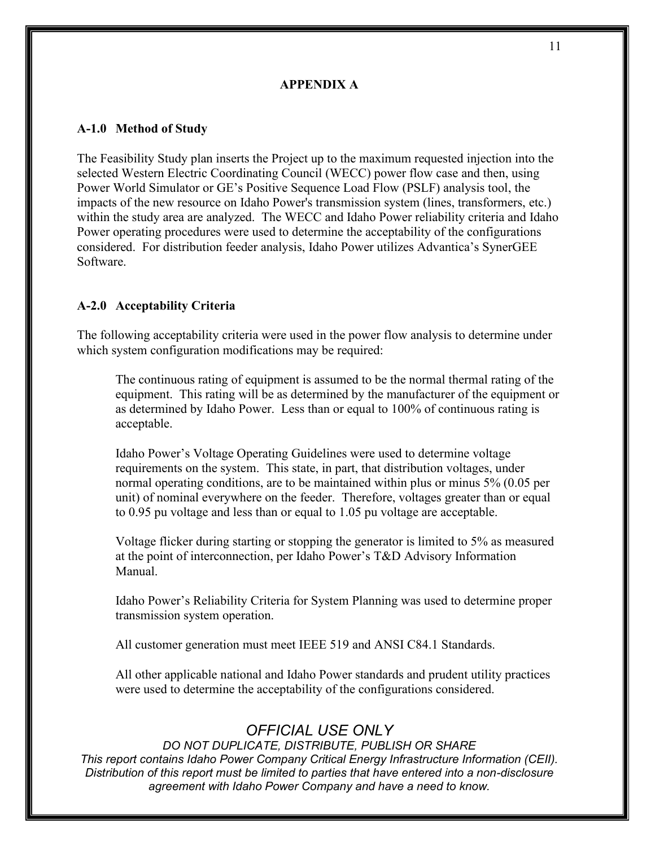#### **APPENDIX A**

#### <span id="page-10-1"></span><span id="page-10-0"></span>**A-1.0 Method of Study**

The Feasibility Study plan inserts the Project up to the maximum requested injection into the selected Western Electric Coordinating Council (WECC) power flow case and then, using Power World Simulator or GE's Positive Sequence Load Flow (PSLF) analysis tool, the impacts of the new resource on Idaho Power's transmission system (lines, transformers, etc.) within the study area are analyzed. The WECC and Idaho Power reliability criteria and Idaho Power operating procedures were used to determine the acceptability of the configurations considered. For distribution feeder analysis, Idaho Power utilizes Advantica's SynerGEE Software.

#### <span id="page-10-2"></span>**A-2.0 Acceptability Criteria**

The following acceptability criteria were used in the power flow analysis to determine under which system configuration modifications may be required:

The continuous rating of equipment is assumed to be the normal thermal rating of the equipment. This rating will be as determined by the manufacturer of the equipment or as determined by Idaho Power. Less than or equal to 100% of continuous rating is acceptable.

Idaho Power's Voltage Operating Guidelines were used to determine voltage requirements on the system. This state, in part, that distribution voltages, under normal operating conditions, are to be maintained within plus or minus 5% (0.05 per unit) of nominal everywhere on the feeder. Therefore, voltages greater than or equal to 0.95 pu voltage and less than or equal to 1.05 pu voltage are acceptable.

Voltage flicker during starting or stopping the generator is limited to 5% as measured at the point of interconnection, per Idaho Power's T&D Advisory Information Manual.

Idaho Power's Reliability Criteria for System Planning was used to determine proper transmission system operation.

All customer generation must meet IEEE 519 and ANSI C84.1 Standards.

All other applicable national and Idaho Power standards and prudent utility practices were used to determine the acceptability of the configurations considered.

## *OFFICIAL USE ONLY*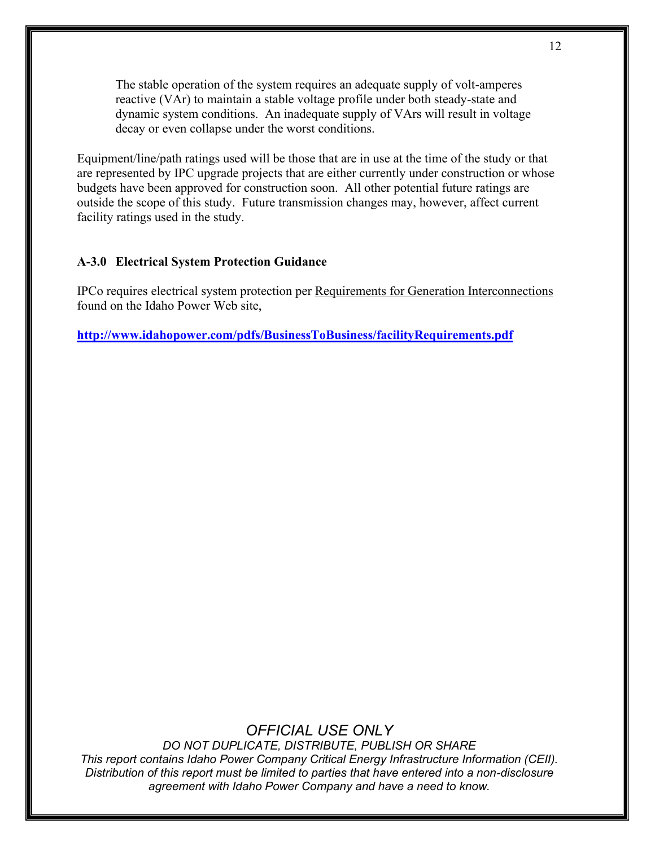The stable operation of the system requires an adequate supply of volt-amperes reactive (VAr) to maintain a stable voltage profile under both steady-state and dynamic system conditions. An inadequate supply of VArs will result in voltage decay or even collapse under the worst conditions.

Equipment/line/path ratings used will be those that are in use at the time of the study or that are represented by IPC upgrade projects that are either currently under construction or whose budgets have been approved for construction soon. All other potential future ratings are outside the scope of this study. Future transmission changes may, however, affect current facility ratings used in the study.

#### <span id="page-11-0"></span>**A-3.0 Electrical System Protection Guidance**

IPCo requires electrical system protection per Requirements for Generation Interconnections found on the Idaho Power Web site,

**<http://www.idahopower.com/pdfs/BusinessToBusiness/facilityRequirements.pdf>**

## *OFFICIAL USE ONLY*